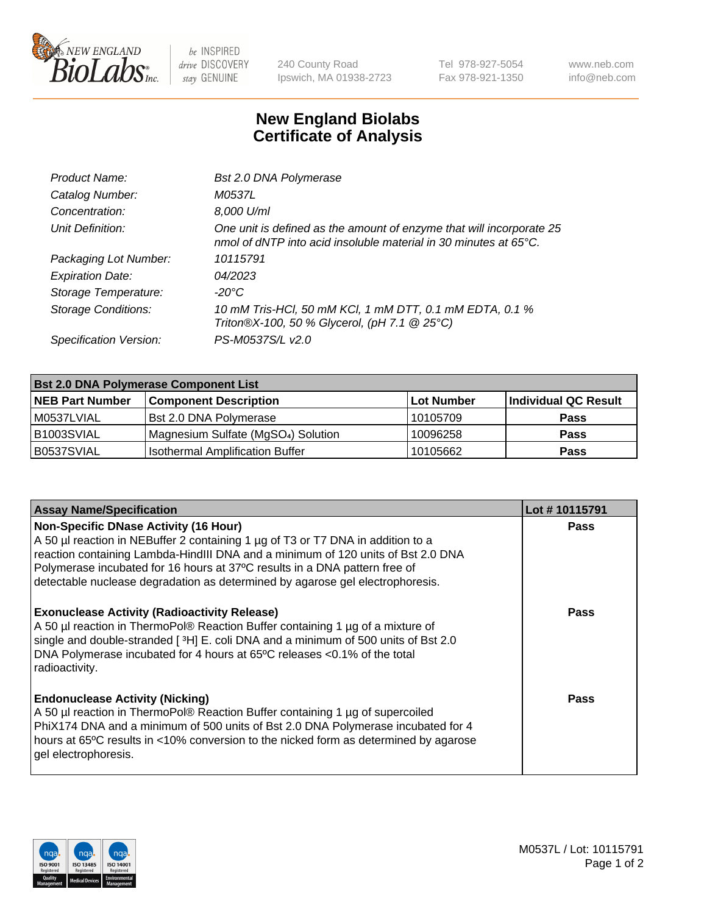

 $be$  INSPIRED drive DISCOVERY stay GENUINE

240 County Road Ipswich, MA 01938-2723 Tel 978-927-5054 Fax 978-921-1350 www.neb.com info@neb.com

## **New England Biolabs Certificate of Analysis**

| Bst 2.0 DNA Polymerase                                                                                                                   |
|------------------------------------------------------------------------------------------------------------------------------------------|
| M0537L                                                                                                                                   |
| 8,000 U/ml                                                                                                                               |
| One unit is defined as the amount of enzyme that will incorporate 25<br>nmol of dNTP into acid insoluble material in 30 minutes at 65°C. |
| 10115791                                                                                                                                 |
| 04/2023                                                                                                                                  |
| -20°C                                                                                                                                    |
| 10 mM Tris-HCl, 50 mM KCl, 1 mM DTT, 0.1 mM EDTA, 0.1 %<br>Triton®X-100, 50 % Glycerol, (pH 7.1 @ 25°C)                                  |
| PS-M0537S/L v2.0                                                                                                                         |
|                                                                                                                                          |

| <b>Bst 2.0 DNA Polymerase Component List</b> |                                                 |                   |                      |  |  |
|----------------------------------------------|-------------------------------------------------|-------------------|----------------------|--|--|
| <b>NEB Part Number</b>                       | <b>Component Description</b>                    | <b>Lot Number</b> | Individual QC Result |  |  |
| M0537LVIAL                                   | Bst 2.0 DNA Polymerase                          | 10105709          | <b>Pass</b>          |  |  |
| B1003SVIAL                                   | Magnesium Sulfate (MgSO <sub>4</sub> ) Solution | 10096258          | <b>Pass</b>          |  |  |
| B0537SVIAL                                   | <b>Isothermal Amplification Buffer</b>          | 10105662          | <b>Pass</b>          |  |  |

| <b>Assay Name/Specification</b>                                                                                                                                                                                                                                                                                                                                                    | Lot #10115791 |
|------------------------------------------------------------------------------------------------------------------------------------------------------------------------------------------------------------------------------------------------------------------------------------------------------------------------------------------------------------------------------------|---------------|
| <b>Non-Specific DNase Activity (16 Hour)</b><br>A 50 µl reaction in NEBuffer 2 containing 1 µg of T3 or T7 DNA in addition to a<br>reaction containing Lambda-HindIII DNA and a minimum of 120 units of Bst 2.0 DNA<br>Polymerase incubated for 16 hours at 37°C results in a DNA pattern free of<br>detectable nuclease degradation as determined by agarose gel electrophoresis. | <b>Pass</b>   |
| <b>Exonuclease Activity (Radioactivity Release)</b><br>A 50 µl reaction in ThermoPol® Reaction Buffer containing 1 µg of a mixture of<br>single and double-stranded [3H] E. coli DNA and a minimum of 500 units of Bst 2.0<br>DNA Polymerase incubated for 4 hours at 65°C releases <0.1% of the total<br>radioactivity.                                                           | Pass          |
| <b>Endonuclease Activity (Nicking)</b><br>A 50 µl reaction in ThermoPol® Reaction Buffer containing 1 µg of supercoiled<br>PhiX174 DNA and a minimum of 500 units of Bst 2.0 DNA Polymerase incubated for 4<br>hours at 65°C results in <10% conversion to the nicked form as determined by agarose<br>gel electrophoresis.                                                        | Pass          |